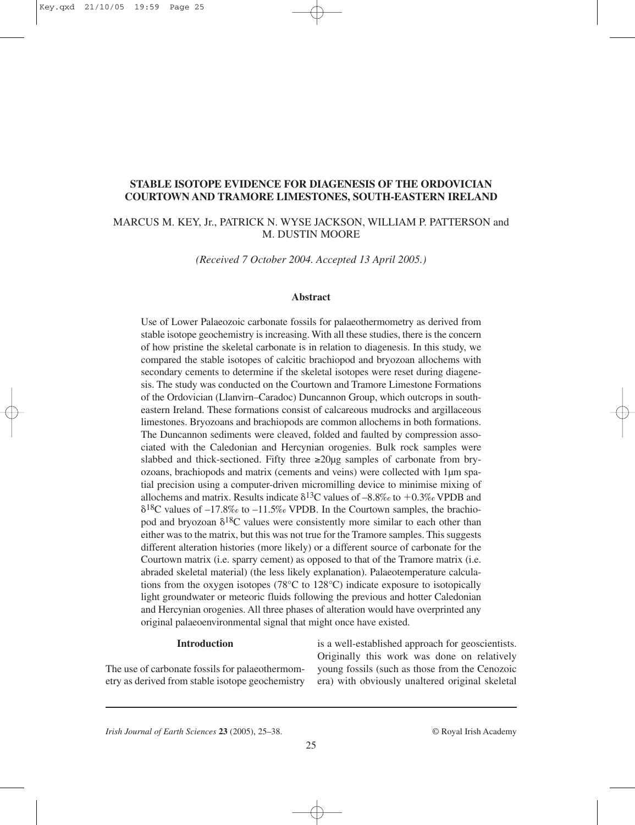## **STABLE ISOTOPE EVIDENCE FOR DIAGENESIS OF THE ORDOVICIAN COURTOWN AND TRAMORE LIMESTONES, SOUTH-EASTERN IRELAND**

# MARCUS M. KEY, Jr., PATRICK N. WYSE JACKSON, WILLIAM P. PATTERSON and M. DUSTIN MOORE

*(Received 7 October 2004. Accepted 13 April 2005.)*

### **Abstract**

Use of Lower Palaeozoic carbonate fossils for palaeothermometry as derived from stable isotope geochemistry is increasing. With all these studies, there is the concern of how pristine the skeletal carbonate is in relation to diagenesis. In this study, we compared the stable isotopes of calcitic brachiopod and bryozoan allochems with secondary cements to determine if the skeletal isotopes were reset during diagenesis. The study was conducted on the Courtown and Tramore Limestone Formations of the Ordovician (Llanvirn–Caradoc) Duncannon Group, which outcrops in southeastern Ireland. These formations consist of calcareous mudrocks and argillaceous limestones. Bryozoans and brachiopods are common allochems in both formations. The Duncannon sediments were cleaved, folded and faulted by compression associated with the Caledonian and Hercynian orogenies. Bulk rock samples were slabbed and thick-sectioned. Fifty three  $\geq 20\mu$ g samples of carbonate from bryozoans, brachiopods and matrix (cements and veins) were collected with 1µm spatial precision using a computer-driven micromilling device to minimise mixing of allochems and matrix. Results indicate  $\delta^{13}$ C values of  $-8.8\%$  to  $+0.3\%$  VPDB and  $\delta^{18}$ C values of  $-17.8\%$  to  $-11.5\%$  VPDB. In the Courtown samples, the brachiopod and bryozoan  $\delta^{18}C$  values were consistently more similar to each other than either was to the matrix, but this was not true for the Tramore samples. This suggests different alteration histories (more likely) or a different source of carbonate for the Courtown matrix (i.e. sparry cement) as opposed to that of the Tramore matrix (i.e. abraded skeletal material) (the less likely explanation). Palaeotemperature calculations from the oxygen isotopes (78 $\degree$ C to 128 $\degree$ C) indicate exposure to isotopically light groundwater or meteoric fluids following the previous and hotter Caledonian and Hercynian orogenies. All three phases of alteration would have overprinted any original palaeoenvironmental signal that might once have existed.

#### **Introduction**

The use of carbonate fossils for palaeothermometry as derived from stable isotope geochemistry is a well-established approach for geoscientists. Originally this work was done on relatively young fossils (such as those from the Cenozoic era) with obviously unaltered original skeletal

*Irish Journal of Earth Sciences* **23** (2005), 25–38. © Royal Irish Academy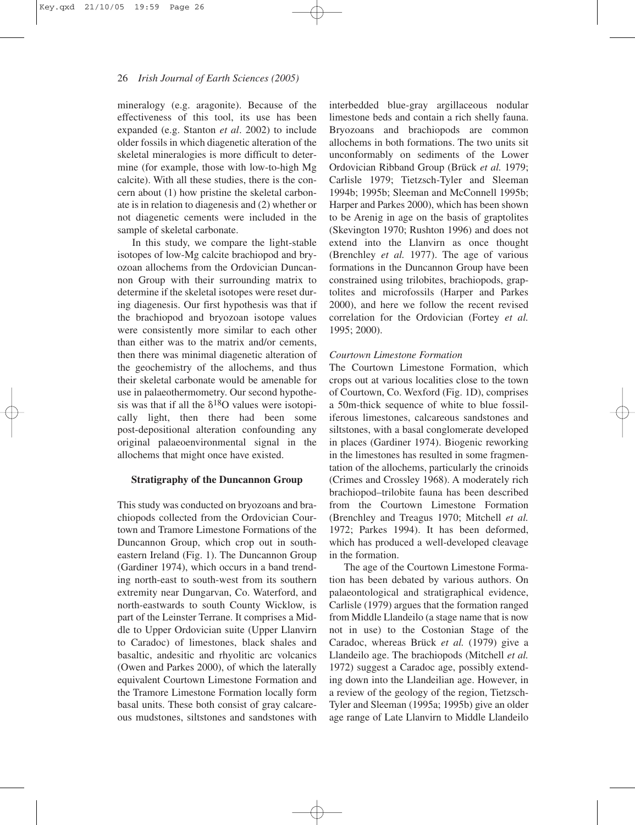mineralogy (e.g. aragonite). Because of the effectiveness of this tool, its use has been expanded (e.g. Stanton *et al*. 2002) to include older fossils in which diagenetic alteration of the skeletal mineralogies is more difficult to determine (for example, those with low-to-high Mg calcite). With all these studies, there is the concern about (1) how pristine the skeletal carbonate is in relation to diagenesis and (2) whether or not diagenetic cements were included in the sample of skeletal carbonate.

In this study, we compare the light-stable isotopes of low-Mg calcite brachiopod and bryozoan allochems from the Ordovician Duncannon Group with their surrounding matrix to determine if the skeletal isotopes were reset during diagenesis. Our first hypothesis was that if the brachiopod and bryozoan isotope values were consistently more similar to each other than either was to the matrix and/or cements, then there was minimal diagenetic alteration of the geochemistry of the allochems, and thus their skeletal carbonate would be amenable for use in palaeothermometry. Our second hypothesis was that if all the  $\delta^{18}O$  values were isotopically light, then there had been some post-depositional alteration confounding any original palaeoenvironmental signal in the allochems that might once have existed.

#### **Stratigraphy of the Duncannon Group**

This study was conducted on bryozoans and brachiopods collected from the Ordovician Courtown and Tramore Limestone Formations of the Duncannon Group, which crop out in southeastern Ireland (Fig. 1). The Duncannon Group (Gardiner 1974), which occurs in a band trending north-east to south-west from its southern extremity near Dungarvan, Co. Waterford, and north-eastwards to south County Wicklow, is part of the Leinster Terrane. It comprises a Middle to Upper Ordovician suite (Upper Llanvirn to Caradoc) of limestones, black shales and basaltic, andesitic and rhyolitic arc volcanics (Owen and Parkes 2000), of which the laterally equivalent Courtown Limestone Formation and the Tramore Limestone Formation locally form basal units. These both consist of gray calcareous mudstones, siltstones and sandstones with

interbedded blue-gray argillaceous nodular limestone beds and contain a rich shelly fauna. Bryozoans and brachiopods are common allochems in both formations. The two units sit unconformably on sediments of the Lower Ordovician Ribband Group (Brück *et al.* 1979; Carlisle 1979; Tietzsch-Tyler and Sleeman 1994b; 1995b; Sleeman and McConnell 1995b; Harper and Parkes 2000), which has been shown to be Arenig in age on the basis of graptolites (Skevington 1970; Rushton 1996) and does not extend into the Llanvirn as once thought (Brenchley *et al.* 1977). The age of various formations in the Duncannon Group have been constrained using trilobites, brachiopods, graptolites and microfossils (Harper and Parkes 2000), and here we follow the recent revised correlation for the Ordovician (Fortey *et al.* 1995; 2000).

#### *Courtown Limestone Formation*

The Courtown Limestone Formation, which crops out at various localities close to the town of Courtown, Co. Wexford (Fig. 1D), comprises a 50m-thick sequence of white to blue fossiliferous limestones, calcareous sandstones and siltstones, with a basal conglomerate developed in places (Gardiner 1974). Biogenic reworking in the limestones has resulted in some fragmentation of the allochems, particularly the crinoids (Crimes and Crossley 1968). A moderately rich brachiopod–trilobite fauna has been described from the Courtown Limestone Formation (Brenchley and Treagus 1970; Mitchell *et al.* 1972; Parkes 1994). It has been deformed, which has produced a well-developed cleavage in the formation.

The age of the Courtown Limestone Formation has been debated by various authors. On palaeontological and stratigraphical evidence, Carlisle (1979) argues that the formation ranged from Middle Llandeilo (a stage name that is now not in use) to the Costonian Stage of the Caradoc, whereas Brück *et al.* (1979) give a Llandeilo age. The brachiopods (Mitchell *et al.* 1972) suggest a Caradoc age, possibly extending down into the Llandeilian age. However, in a review of the geology of the region, Tietzsch-Tyler and Sleeman (1995a; 1995b) give an older age range of Late Llanvirn to Middle Llandeilo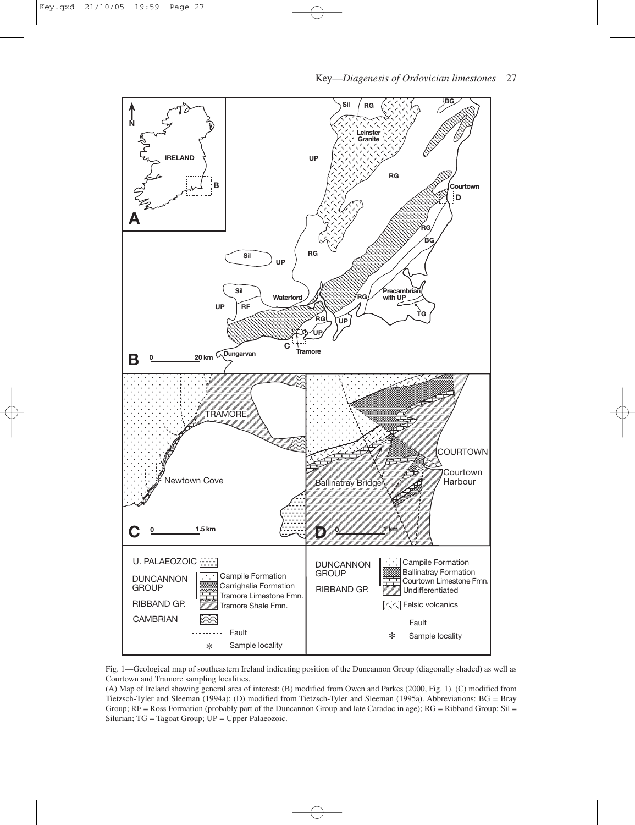

Fig. 1—Geological map of southeastern Ireland indicating position of the Duncannon Group (diagonally shaded) as well as Courtown and Tramore sampling localities.

(A) Map of Ireland showing general area of interest; (B) modified from Owen and Parkes (2000, Fig. 1). (C) modified from Tietzsch-Tyler and Sleeman (1994a); (D) modified from Tietzsch-Tyler and Sleeman (1995a). Abbreviations: BG = Bray Group;  $RF = Ross$  Formation (probably part of the Duncannon Group and late Caradoc in age); RG = Ribband Group; Sil = Silurian; TG = Tagoat Group; UP = Upper Palaeozoic.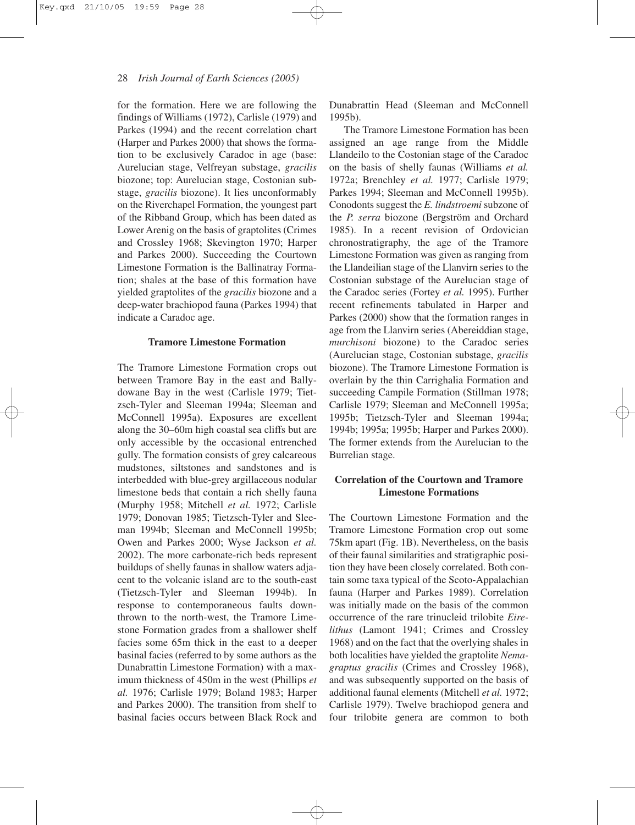for the formation. Here we are following the findings of Williams (1972), Carlisle (1979) and Parkes (1994) and the recent correlation chart (Harper and Parkes 2000) that shows the formation to be exclusively Caradoc in age (base: Aurelucian stage, Velfreyan substage, *gracilis* biozone; top: Aurelucian stage, Costonian substage, *gracilis* biozone). It lies unconformably on the Riverchapel Formation, the youngest part of the Ribband Group, which has been dated as Lower Arenig on the basis of graptolites (Crimes and Crossley 1968; Skevington 1970; Harper and Parkes 2000). Succeeding the Courtown Limestone Formation is the Ballinatray Formation; shales at the base of this formation have yielded graptolites of the *gracilis* biozone and a deep-water brachiopod fauna (Parkes 1994) that indicate a Caradoc age.

#### **Tramore Limestone Formation**

The Tramore Limestone Formation crops out between Tramore Bay in the east and Ballydowane Bay in the west (Carlisle 1979; Tietzsch-Tyler and Sleeman 1994a; Sleeman and McConnell 1995a). Exposures are excellent along the 30–60m high coastal sea cliffs but are only accessible by the occasional entrenched gully. The formation consists of grey calcareous mudstones, siltstones and sandstones and is interbedded with blue-grey argillaceous nodular limestone beds that contain a rich shelly fauna (Murphy 1958; Mitchell *et al.* 1972; Carlisle 1979; Donovan 1985; Tietzsch-Tyler and Sleeman 1994b; Sleeman and McConnell 1995b; Owen and Parkes 2000; Wyse Jackson *et al.* 2002). The more carbonate-rich beds represent buildups of shelly faunas in shallow waters adjacent to the volcanic island arc to the south-east (Tietzsch-Tyler and Sleeman 1994b). In response to contemporaneous faults downthrown to the north-west, the Tramore Limestone Formation grades from a shallower shelf facies some 65m thick in the east to a deeper basinal facies (referred to by some authors as the Dunabrattin Limestone Formation) with a maximum thickness of 450m in the west (Phillips *et al.* 1976; Carlisle 1979; Boland 1983; Harper and Parkes 2000). The transition from shelf to basinal facies occurs between Black Rock and

Dunabrattin Head (Sleeman and McConnell 1995b).

The Tramore Limestone Formation has been assigned an age range from the Middle Llandeilo to the Costonian stage of the Caradoc on the basis of shelly faunas (Williams *et al.* 1972a; Brenchley *et al.* 1977; Carlisle 1979; Parkes 1994; Sleeman and McConnell 1995b). Conodonts suggest the *E. lindstroemi* subzone of the *P. serra* biozone (Bergström and Orchard 1985). In a recent revision of Ordovician chronostratigraphy, the age of the Tramore Limestone Formation was given as ranging from the Llandeilian stage of the Llanvirn series to the Costonian substage of the Aurelucian stage of the Caradoc series (Fortey *et al.* 1995). Further recent refinements tabulated in Harper and Parkes (2000) show that the formation ranges in age from the Llanvirn series (Abereiddian stage, *murchisoni* biozone) to the Caradoc series (Aurelucian stage, Costonian substage, *gracilis* biozone). The Tramore Limestone Formation is overlain by the thin Carrighalia Formation and succeeding Campile Formation (Stillman 1978; Carlisle 1979; Sleeman and McConnell 1995a; 1995b; Tietzsch-Tyler and Sleeman 1994a; 1994b; 1995a; 1995b; Harper and Parkes 2000). The former extends from the Aurelucian to the Burrelian stage.

## **Correlation of the Courtown and Tramore Limestone Formations**

The Courtown Limestone Formation and the Tramore Limestone Formation crop out some 75km apart (Fig. 1B). Nevertheless, on the basis of their faunal similarities and stratigraphic position they have been closely correlated. Both contain some taxa typical of the Scoto-Appalachian fauna (Harper and Parkes 1989). Correlation was initially made on the basis of the common occurrence of the rare trinucleid trilobite *Eirelithus* (Lamont 1941; Crimes and Crossley 1968) and on the fact that the overlying shales in both localities have yielded the graptolite *Nemagraptus gracilis* (Crimes and Crossley 1968), and was subsequently supported on the basis of additional faunal elements (Mitchell *et al.* 1972; Carlisle 1979). Twelve brachiopod genera and four trilobite genera are common to both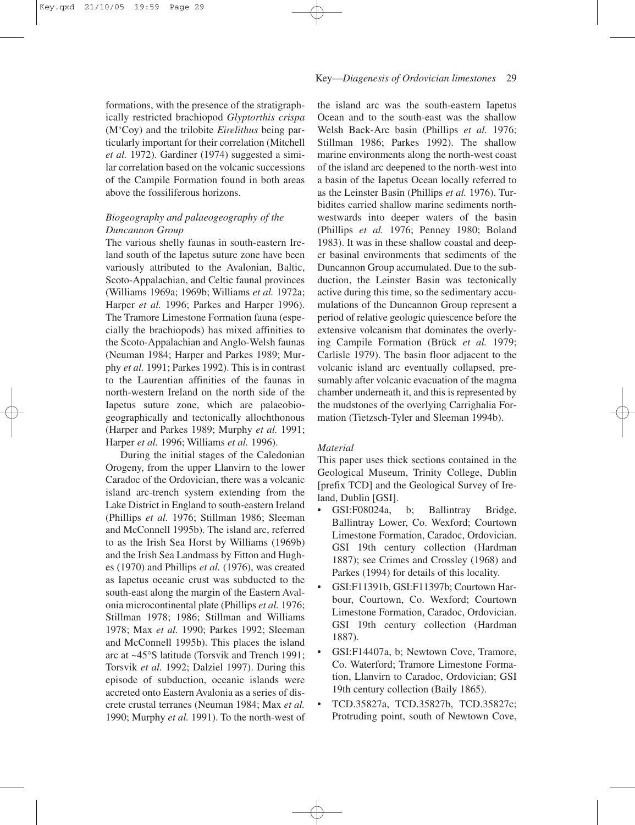formations, with the presence of the stratigraphically restricted brachiopod *Glyptorthis crispa* (M'Coy) and the trilobite *Eirelithus* being particularly important for their correlation (Mitchell *et al.* 1972). Gardiner (1974) suggested a similar correlation based on the volcanic successions of the Campile Formation found in both areas above the fossiliferous horizons.

## *Biogeography and palaeogeography of the Duncannon Group*

The various shelly faunas in south-eastern Ireland south of the Iapetus suture zone have been variously attributed to the Avalonian, Baltic, Scoto-Appalachian, and Celtic faunal provinces (Williams 1969a; 1969b; Williams *et al.* 1972a; Harper *et al.* 1996; Parkes and Harper 1996). The Tramore Limestone Formation fauna (especially the brachiopods) has mixed affinities to the Scoto-Appalachian and Anglo-Welsh faunas (Neuman 1984; Harper and Parkes 1989; Murphy *et al.* 1991; Parkes 1992). This is in contrast to the Laurentian affinities of the faunas in north-western Ireland on the north side of the Iapetus suture zone, which are palaeobiogeographically and tectonically allochthonous (Harper and Parkes 1989; Murphy *et al.* 1991; Harper *et al.* 1996; Williams *et al.* 1996).

During the initial stages of the Caledonian Orogeny, from the upper Llanvirn to the lower Caradoc of the Ordovician, there was a volcanic island arc-trench system extending from the Lake District in England to south-eastern Ireland (Phillips *et al.* 1976; Stillman 1986; Sleeman and McConnell 1995b). The island arc, referred to as the Irish Sea Horst by Williams (1969b) and the Irish Sea Landmass by Fitton and Hughes (1970) and Phillips *et al.* (1976), was created as Iapetus oceanic crust was subducted to the south-east along the margin of the Eastern Avalonia microcontinental plate (Phillips *et al.* 1976; Stillman 1978; 1986; Stillman and Williams 1978; Max *et al.* 1990; Parkes 1992; Sleeman and McConnell 1995b). This places the island arc at ~45°S latitude (Torsvik and Trench 1991; Torsvik *et al.* 1992; Dalziel 1997). During this episode of subduction, oceanic islands were accreted onto Eastern Avalonia as a series of discrete crustal terranes (Neuman 1984; Max *et al.* 1990; Murphy *et al.* 1991). To the north-west of the island arc was the south-eastern Iapetus Ocean and to the south-east was the shallow Welsh Back-Arc basin (Phillips *et al.* 1976; Stillman 1986; Parkes 1992). The shallow marine environments along the north-west coast of the island arc deepened to the north-west into a basin of the Iapetus Ocean locally referred to as the Leinster Basin (Phillips *et al.* 1976). Turbidites carried shallow marine sediments northwestwards into deeper waters of the basin (Phillips *et al.* 1976; Penney 1980; Boland 1983). It was in these shallow coastal and deeper basinal environments that sediments of the Duncannon Group accumulated. Due to the subduction, the Leinster Basin was tectonically active during this time, so the sedimentary accumulations of the Duncannon Group represent a period of relative geologic quiescence before the extensive volcanism that dominates the overlying Campile Formation (Brück *et al.* 1979; Carlisle 1979). The basin floor adjacent to the volcanic island arc eventually collapsed, presumably after volcanic evacuation of the magma chamber underneath it, and this is represented by the mudstones of the overlying Carrighalia Formation (Tietzsch-Tyler and Sleeman 1994b).

### *Material*

This paper uses thick sections contained in the Geological Museum, Trinity College, Dublin [prefix TCD] and the Geological Survey of Ireland, Dublin [GSI].

- GSI:F08024a, b; Ballintray Bridge, Ballintray Lower, Co. Wexford; Courtown Limestone Formation, Caradoc, Ordovician. GSI 19th century collection (Hardman 1887); see Crimes and Crossley (1968) and Parkes (1994) for details of this locality.
- GSI:F11391b, GSI:F11397b; Courtown Harbour, Courtown, Co. Wexford; Courtown Limestone Formation, Caradoc, Ordovician. GSI 19th century collection (Hardman 1887).
- GSI:F14407a, b; Newtown Cove, Tramore, Co. Waterford; Tramore Limestone Formation, Llanvirn to Caradoc, Ordovician; GSI 19th century collection (Baily 1865).
- TCD.35827a, TCD.35827b, TCD.35827c; Protruding point, south of Newtown Cove,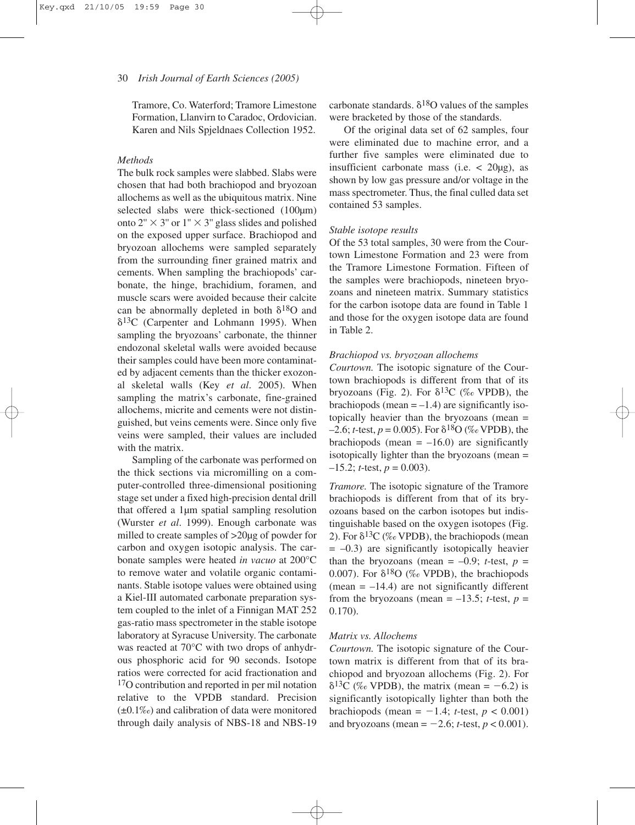Tramore, Co. Waterford; Tramore Limestone Formation, Llanvirn to Caradoc, Ordovician. Karen and Nils Spjeldnaes Collection 1952.

### *Methods*

The bulk rock samples were slabbed. Slabs were chosen that had both brachiopod and bryozoan allochems as well as the ubiquitous matrix. Nine selected slabs were thick-sectioned (100 $\mu$ m) onto 2"  $\times$  3" or 1"  $\times$  3" glass slides and polished on the exposed upper surface. Brachiopod and bryozoan allochems were sampled separately from the surrounding finer grained matrix and cements. When sampling the brachiopods' carbonate, the hinge, brachidium, foramen, and muscle scars were avoided because their calcite can be abnormally depleted in both  $\delta^{18}O$  and  $\delta^{13}$ C (Carpenter and Lohmann 1995). When sampling the bryozoans' carbonate, the thinner endozonal skeletal walls were avoided because their samples could have been more contaminated by adjacent cements than the thicker exozonal skeletal walls (Key *et al*. 2005). When sampling the matrix's carbonate, fine-grained allochems, micrite and cements were not distinguished, but veins cements were. Since only five veins were sampled, their values are included with the matrix.

Sampling of the carbonate was performed on the thick sections via micromilling on a computer-controlled three-dimensional positioning stage set under a fixed high-precision dental drill that offered a 1µm spatial sampling resolution (Wurster *et al*. 1999). Enough carbonate was milled to create samples of >20µg of powder for carbon and oxygen isotopic analysis. The carbonate samples were heated *in vacuo* at 200°C to remove water and volatile organic contaminants. Stable isotope values were obtained using a Kiel-III automated carbonate preparation system coupled to the inlet of a Finnigan MAT 252 gas-ratio mass spectrometer in the stable isotope laboratory at Syracuse University. The carbonate was reacted at 70°C with two drops of anhydrous phosphoric acid for 90 seconds. Isotope ratios were corrected for acid fractionation and <sup>17</sup>O contribution and reported in per mil notation relative to the VPDB standard. Precision  $(\pm 0.1\%)$  and calibration of data were monitored through daily analysis of NBS-18 and NBS-19

carbonate standards.  $\delta^{18}O$  values of the samples were bracketed by those of the standards.

Of the original data set of 62 samples, four were eliminated due to machine error, and a further five samples were eliminated due to insufficient carbonate mass (i.e.  $\langle 20 \mu$ g), as shown by low gas pressure and/or voltage in the mass spectrometer. Thus, the final culled data set contained 53 samples.

#### *Stable isotope results*

Of the 53 total samples, 30 were from the Courtown Limestone Formation and 23 were from the Tramore Limestone Formation. Fifteen of the samples were brachiopods, nineteen bryozoans and nineteen matrix. Summary statistics for the carbon isotope data are found in Table 1 and those for the oxygen isotope data are found in Table 2.

### *Brachiopod vs. bryozoan allochems*

*Courtown.* The isotopic signature of the Courtown brachiopods is different from that of its bryozoans (Fig. 2). For  $\delta^{13}C$  (‰ VPDB), the brachiopods (mean  $= -1.4$ ) are significantly isotopically heavier than the bryozoans (mean =  $-2.6$ ; *t*-test, *p* = 0.005). For  $\delta^{18}O$  (‰ VPDB), the brachiopods (mean  $= -16.0$ ) are significantly isotopically lighter than the bryozoans (mean =  $-15.2$ ; *t*-test, *p* = 0.003).

*Tramore.* The isotopic signature of the Tramore brachiopods is different from that of its bryozoans based on the carbon isotopes but indistinguishable based on the oxygen isotopes (Fig. 2). For  $\delta^{13}C$  (‰ VPDB), the brachiopods (mean  $= -0.3$ ) are significantly isotopically heavier than the bryozoans (mean =  $-0.9$ ; *t*-test, *p* = 0.007). For  $\delta^{18}O$  (‰ VPDB), the brachiopods (mean  $= -14.4$ ) are not significantly different from the bryozoans (mean  $= -13.5$ ; *t*-test, *p*  $=$ 0.170).

#### *Matrix vs. Allochems*

*Courtown.* The isotopic signature of the Courtown matrix is different from that of its brachiopod and bryozoan allochems (Fig. 2). For  $\delta^{13}C$  (% VPDB), the matrix (mean = -6.2) is significantly isotopically lighter than both the brachiopods (mean  $= -1.4$ ; *t*-test,  $p < 0.001$ ) and bryozoans (mean =  $-2.6$ ; *t*-test,  $p < 0.001$ ).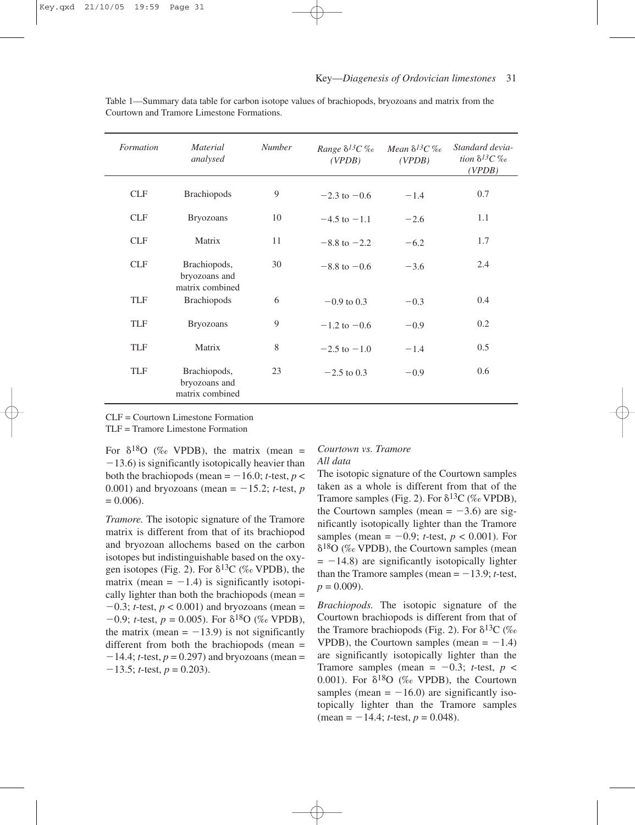| Formation  | <b>Material</b><br>analysed                      | <b>Number</b> | Range $\delta^{13}C\%$ Mean $\delta^{13}C\%$<br>(VPDB) | (VPDB) | Standard devia-<br>tion $\delta^{13}C\%$<br>(VPDB) |
|------------|--------------------------------------------------|---------------|--------------------------------------------------------|--------|----------------------------------------------------|
| <b>CLF</b> | <b>Brachiopods</b>                               | 9             | $-2.3$ to $-0.6$                                       | $-1.4$ | 0.7                                                |
| <b>CLF</b> | <b>Bryozoans</b>                                 | 10            | $-4.5$ to $-1.1$                                       | $-2.6$ | 1.1                                                |
| <b>CLF</b> | Matrix                                           | 11            | $-8.8$ to $-2.2$                                       | $-6.2$ | 1.7                                                |
| <b>CLF</b> | Brachiopods,<br>bryozoans and<br>matrix combined | 30            | $-8.8$ to $-0.6$                                       | $-3.6$ | 2.4                                                |
| <b>TLF</b> | <b>Brachiopods</b>                               | 6             | $-0.9$ to 0.3                                          | $-0.3$ | 0.4                                                |
| <b>TLF</b> | <b>Bryozoans</b>                                 | 9             | $-1.2$ to $-0.6$                                       | $-0.9$ | 0.2                                                |
| <b>TLF</b> | Matrix                                           | 8             | $-2.5$ to $-1.0$                                       | $-1.4$ | 0.5                                                |
| <b>TLF</b> | Brachiopods,<br>bryozoans and<br>matrix combined | 23            | $-2.5$ to 0.3                                          | $-0.9$ | 0.6                                                |

Table 1—Summary data table for carbon isotope values of brachiopods, bryozoans and matrix from the Courtown and Tramore Limestone Formations.

CLF = Courtown Limestone Formation

TLF = Tramore Limestone Formation

For  $\delta^{18}O$  (% VPDB), the matrix (mean =  $-13.6$ ) is significantly isotopically heavier than both the brachiopods (mean  $= -16.0$ ; *t*-test, *p* < 0.001) and bryozoans (mean  $= -15.2$ ; *t*-test, *p*  $= 0.006$ .

*Tramore.* The isotopic signature of the Tramore matrix is different from that of its brachiopod and bryozoan allochems based on the carbon isotopes but indistinguishable based on the oxygen isotopes (Fig. 2). For  $\delta^{13}C$  (‰ VPDB), the matrix (mean  $= -1.4$ ) is significantly isotopically lighter than both the brachiopods (mean =  $-0.3$ ; *t*-test,  $p < 0.001$ ) and bryozoans (mean =  $-0.9$ ; *t*-test,  $p = 0.005$ ). For  $\delta^{18}O$  (‰ VPDB), the matrix (mean  $= -13.9$ ) is not significantly different from both the brachiopods (mean  $=$  $-14.4$ ; *t*-test,  $p = 0.297$ ) and bryozoans (mean =  $-13.5$ ; *t*-test, *p* = 0.203).

### *Courtown vs. Tramore All data*

The isotopic signature of the Courtown samples taken as a whole is different from that of the Tramore samples (Fig. 2). For  $\delta^{13}C$  (‰ VPDB), the Courtown samples (mean  $= -3.6$ ) are significantly isotopically lighter than the Tramore samples (mean  $= -0.9$ ; *t*-test,  $p < 0.001$ ). For  $\delta^{18}O$  (% VPDB), the Courtown samples (mean  $= -14.8$ ) are significantly isotopically lighter than the Tramore samples (mean  $= -13.9$ ; *t*-test,  $p = 0.009$ .

*Brachiopods.* The isotopic signature of the Courtown brachiopods is different from that of the Tramore brachiopods (Fig. 2). For  $\delta^{13}C$  (% VPDB), the Courtown samples (mean  $= -1.4$ ) are significantly isotopically lighter than the Tramore samples (mean  $= -0.3$ ; *t*-test, *p* < 0.001). For  $\delta^{18}O$  (‰ VPDB), the Courtown samples (mean  $= -16.0$ ) are significantly isotopically lighter than the Tramore samples  $(\text{mean} = -14.4; t\text{-test}, p = 0.048).$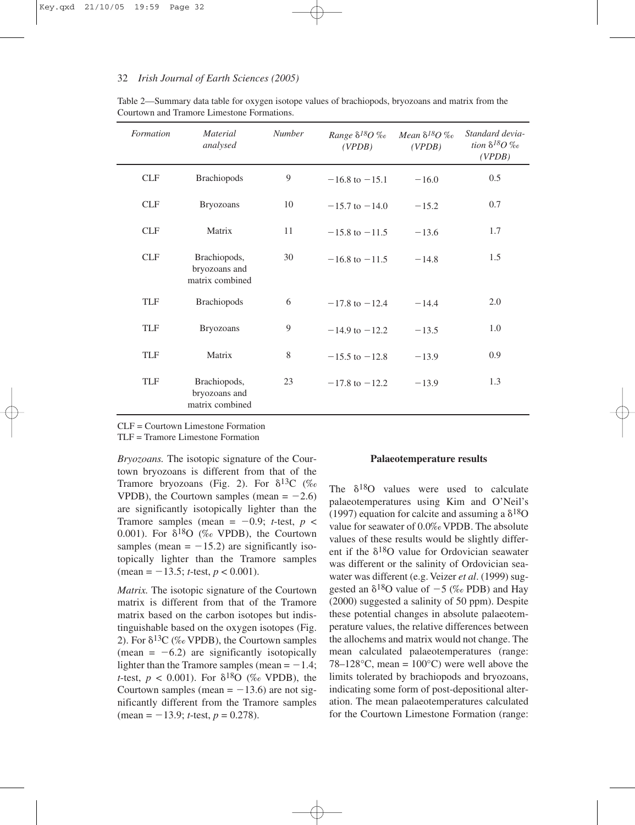#### 32 *Irish Journal of Earth Sciences (2005)*

| Formation  | <b>Material</b><br>analysed                      | <b>Number</b> | Range $\delta^{18}O$ ‰<br>(VPDB) | Mean $\delta^{18}O$ ‰<br>(VPDB) | Standard devia-<br>tion $\delta^{18}O$ ‰<br>(VPDB) |
|------------|--------------------------------------------------|---------------|----------------------------------|---------------------------------|----------------------------------------------------|
| <b>CLF</b> | <b>Brachiopods</b>                               | 9             | $-16.8$ to $-15.1$               | $-16.0$                         | 0.5                                                |
| <b>CLF</b> | <b>Bryozoans</b>                                 | 10            | $-15.7$ to $-14.0$               | $-15.2$                         | 0.7                                                |
| <b>CLF</b> | Matrix                                           | 11            | $-15.8$ to $-11.5$               | $-13.6$                         | 1.7                                                |
| <b>CLF</b> | Brachiopods,<br>bryozoans and<br>matrix combined | 30            | $-16.8$ to $-11.5$               | $-14.8$                         | 1.5                                                |
| <b>TLF</b> | <b>Brachiopods</b>                               | 6             | $-17.8$ to $-12.4$               | $-14.4$                         | 2.0                                                |
| <b>TLF</b> | <b>Bryozoans</b>                                 | 9             | $-14.9$ to $-12.2$               | $-13.5$                         | 1.0                                                |
| <b>TLF</b> | Matrix                                           | 8             | $-15.5$ to $-12.8$               | $-13.9$                         | 0.9                                                |
| <b>TLF</b> | Brachiopods,<br>bryozoans and<br>matrix combined | 23            | $-17.8$ to $-12.2$               | $-13.9$                         | 1.3                                                |

Table 2—Summary data table for oxygen isotope values of brachiopods, bryozoans and matrix from the Courtown and Tramore Limestone Formations.

CLF = Courtown Limestone Formation

TLF = Tramore Limestone Formation

*Bryozoans.* The isotopic signature of the Courtown bryozoans is different from that of the Tramore bryozoans (Fig. 2). For  $\delta^{13}C$  (‰ VPDB), the Courtown samples (mean  $= -2.6$ ) are significantly isotopically lighter than the Tramore samples (mean =  $-0.9$ ; *t*-test, *p* < 0.001). For  $\delta^{18}O$  (‰ VPDB), the Courtown samples (mean  $= -15.2$ ) are significantly isotopically lighter than the Tramore samples  $(\text{mean} = -13.5; t\text{-test}, p < 0.001).$ 

*Matrix.* The isotopic signature of the Courtown matrix is different from that of the Tramore matrix based on the carbon isotopes but indistinguishable based on the oxygen isotopes (Fig. 2). For  $\delta^{13}C$  (% VPDB), the Courtown samples (mean  $= -6.2$ ) are significantly isotopically lighter than the Tramore samples (mean  $= -1.4$ ; *t*-test,  $p < 0.001$ ). For  $\delta^{18}O$  (‰ VPDB), the Courtown samples (mean  $= -13.6$ ) are not significantly different from the Tramore samples  $(\text{mean} = -13.9; t\text{-test}, p = 0.278).$ 

#### **Palaeotemperature results**

The  $\delta^{18}O$  values were used to calculate palaeotemperatures using Kim and O'Neil's (1997) equation for calcite and assuming a  $\delta^{18}O$ value for seawater of 0.0‰ VPDB. The absolute values of these results would be slightly different if the  $\delta^{18}O$  value for Ordovician seawater was different or the salinity of Ordovician seawater was different (e.g. Veizer *et al*. (1999) suggested an  $\delta^{18}O$  value of  $-5$  (‰ PDB) and Hay (2000) suggested a salinity of 50 ppm). Despite these potential changes in absolute palaeotemperature values, the relative differences between the allochems and matrix would not change. The mean calculated palaeotemperatures (range: 78–128 $\degree$ C, mean = 100 $\degree$ C) were well above the limits tolerated by brachiopods and bryozoans, indicating some form of post-depositional alteration. The mean palaeotemperatures calculated for the Courtown Limestone Formation (range: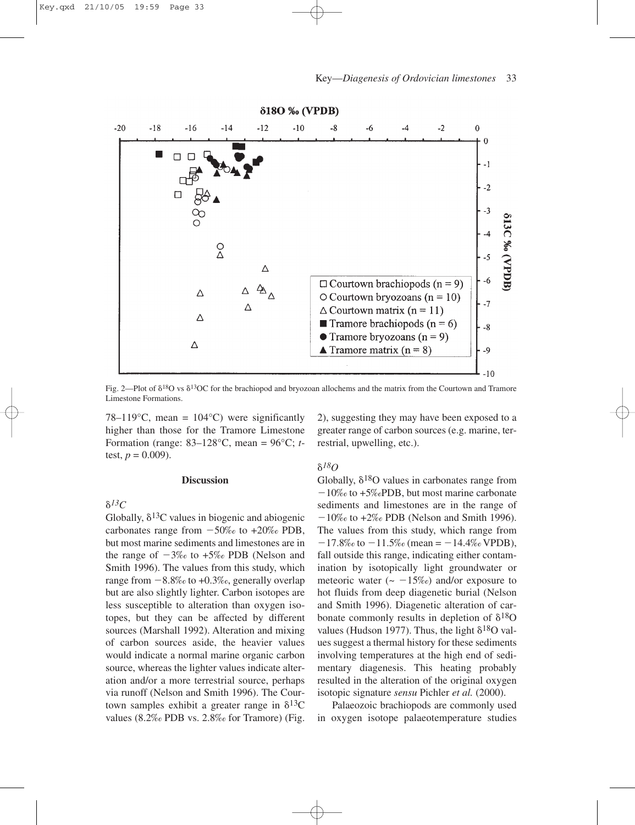

Fig. 2—Plot of  $\delta^{18}$ O vs  $\delta^{13}$ OC for the brachiopod and bryozoan allochems and the matrix from the Courtown and Tramore Limestone Formations.

78–119 $\textdegree$ C, mean = 104 $\textdegree$ C) were significantly higher than those for the Tramore Limestone Formation (range: 83–128°C, mean = 96°C; *t*test,  $p = 0.009$ ).

#### **Discussion**

 $\delta^{I3}C$ 

Globally,  $\delta^{13}$ C values in biogenic and abiogenic carbonates range from  $-50\%$  to  $+20\%$  PDB, but most marine sediments and limestones are in the range of  $-3\%$  to  $+5\%$  PDB (Nelson and Smith 1996). The values from this study, which range from  $-8.8\%$  to  $+0.3\%$ , generally overlap but are also slightly lighter. Carbon isotopes are less susceptible to alteration than oxygen isotopes, but they can be affected by different sources (Marshall 1992). Alteration and mixing of carbon sources aside, the heavier values would indicate a normal marine organic carbon source, whereas the lighter values indicate alteration and/or a more terrestrial source, perhaps via runoff (Nelson and Smith 1996). The Courtown samples exhibit a greater range in  $\delta^{13}C$ values (8.2‰ PDB vs. 2.8‰ for Tramore) (Fig. 2), suggesting they may have been exposed to a greater range of carbon sources (e.g. marine, terrestrial, upwelling, etc.).

## -*18O*

Globally,  $\delta^{18}O$  values in carbonates range from  $-10\%$  to +5% PDB, but most marine carbonate sediments and limestones are in the range of  $-10\%$  to  $+2\%$  PDB (Nelson and Smith 1996). The values from this study, which range from  $-17.8\%$  to  $-11.5\%$  (mean =  $-14.4\%$  VPDB), fall outside this range, indicating either contamination by isotopically light groundwater or meteoric water ( $\sim -15\%$ ) and/or exposure to hot fluids from deep diagenetic burial (Nelson and Smith 1996). Diagenetic alteration of carbonate commonly results in depletion of  $\delta^{18}O$ values (Hudson 1977). Thus, the light  $\delta^{18}O$  values suggest a thermal history for these sediments involving temperatures at the high end of sedimentary diagenesis. This heating probably resulted in the alteration of the original oxygen isotopic signature *sensu* Pichler *et al.* (2000).

Palaeozoic brachiopods are commonly used in oxygen isotope palaeotemperature studies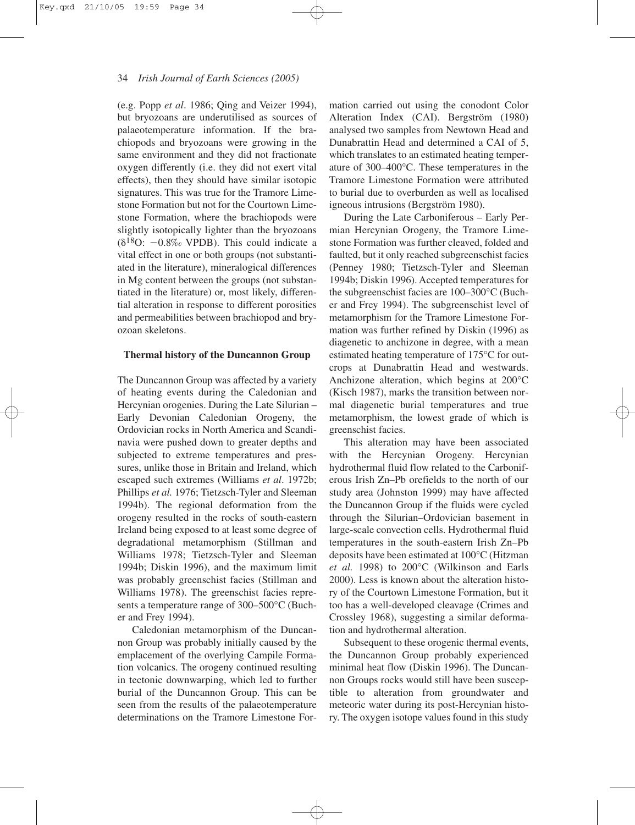(e.g. Popp *et al*. 1986; Qing and Veizer 1994), but bryozoans are underutilised as sources of palaeotemperature information. If the brachiopods and bryozoans were growing in the same environment and they did not fractionate oxygen differently (i.e. they did not exert vital effects), then they should have similar isotopic signatures. This was true for the Tramore Limestone Formation but not for the Courtown Limestone Formation, where the brachiopods were slightly isotopically lighter than the bryozoans  $(\delta^{18}O: -0.8\% \text{VPDB})$ . This could indicate a vital effect in one or both groups (not substantiated in the literature), mineralogical differences in Mg content between the groups (not substantiated in the literature) or, most likely, differential alteration in response to different porosities and permeabilities between brachiopod and bryozoan skeletons.

#### **Thermal history of the Duncannon Group**

The Duncannon Group was affected by a variety of heating events during the Caledonian and Hercynian orogenies. During the Late Silurian – Early Devonian Caledonian Orogeny, the Ordovician rocks in North America and Scandinavia were pushed down to greater depths and subjected to extreme temperatures and pressures, unlike those in Britain and Ireland, which escaped such extremes (Williams *et al*. 1972b; Phillips *et al.* 1976; Tietzsch-Tyler and Sleeman 1994b). The regional deformation from the orogeny resulted in the rocks of south-eastern Ireland being exposed to at least some degree of degradational metamorphism (Stillman and Williams 1978; Tietzsch-Tyler and Sleeman 1994b; Diskin 1996), and the maximum limit was probably greenschist facies (Stillman and Williams 1978). The greenschist facies represents a temperature range of 300–500°C (Bucher and Frey 1994).

Caledonian metamorphism of the Duncannon Group was probably initially caused by the emplacement of the overlying Campile Formation volcanics. The orogeny continued resulting in tectonic downwarping, which led to further burial of the Duncannon Group. This can be seen from the results of the palaeotemperature determinations on the Tramore Limestone Formation carried out using the conodont Color Alteration Index (CAI). Bergström (1980) analysed two samples from Newtown Head and Dunabrattin Head and determined a CAI of 5, which translates to an estimated heating temperature of 300–400°C. These temperatures in the Tramore Limestone Formation were attributed to burial due to overburden as well as localised igneous intrusions (Bergström 1980).

During the Late Carboniferous – Early Permian Hercynian Orogeny, the Tramore Limestone Formation was further cleaved, folded and faulted, but it only reached subgreenschist facies (Penney 1980; Tietzsch-Tyler and Sleeman 1994b; Diskin 1996). Accepted temperatures for the subgreenschist facies are 100–300°C (Bucher and Frey 1994). The subgreenschist level of metamorphism for the Tramore Limestone Formation was further refined by Diskin (1996) as diagenetic to anchizone in degree, with a mean estimated heating temperature of 175°C for outcrops at Dunabrattin Head and westwards. Anchizone alteration, which begins at 200°C (Kisch 1987), marks the transition between normal diagenetic burial temperatures and true metamorphism, the lowest grade of which is greenschist facies.

This alteration may have been associated with the Hercynian Orogeny. Hercynian hydrothermal fluid flow related to the Carboniferous Irish Zn–Pb orefields to the north of our study area (Johnston 1999) may have affected the Duncannon Group if the fluids were cycled through the Silurian–Ordovician basement in large-scale convection cells. Hydrothermal fluid temperatures in the south-eastern Irish Zn–Pb deposits have been estimated at 100°C (Hitzman *et al.* 1998) to 200°C (Wilkinson and Earls 2000). Less is known about the alteration history of the Courtown Limestone Formation, but it too has a well-developed cleavage (Crimes and Crossley 1968), suggesting a similar deformation and hydrothermal alteration.

Subsequent to these orogenic thermal events, the Duncannon Group probably experienced minimal heat flow (Diskin 1996). The Duncannon Groups rocks would still have been susceptible to alteration from groundwater and meteoric water during its post-Hercynian history. The oxygen isotope values found in this study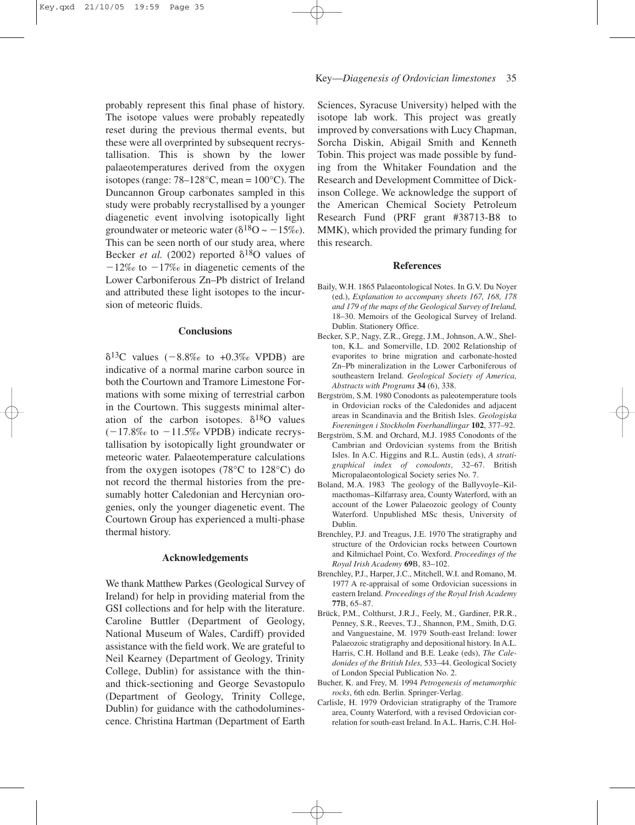probably represent this final phase of history. The isotope values were probably repeatedly reset during the previous thermal events, but these were all overprinted by subsequent recrystallisation. This is shown by the lower palaeotemperatures derived from the oxygen isotopes (range:  $78-128$ °C, mean =  $100$ °C). The Duncannon Group carbonates sampled in this study were probably recrystallised by a younger diagenetic event involving isotopically light groundwater or meteoric water ( $\delta^{18}O \sim -15\%$ ). This can be seen north of our study area, where Becker *et al.* (2002) reported  $\delta^{18}$ O values of  $-12\%$  to  $-17\%$  in diagenetic cements of the Lower Carboniferous Zn–Pb district of Ireland and attributed these light isotopes to the incursion of meteoric fluids.

### **Conclusions**

 $\delta^{13}$ C values (-8.8‰ to +0.3‰ VPDB) are indicative of a normal marine carbon source in both the Courtown and Tramore Limestone Formations with some mixing of terrestrial carbon in the Courtown. This suggests minimal alteration of the carbon isotopes.  $\delta^{18}O$  values  $(-17.8\% \text{ to } -11.5\% \text{ VPDB})$  indicate recrystallisation by isotopically light groundwater or meteoric water. Palaeotemperature calculations from the oxygen isotopes (78°C to 128°C) do not record the thermal histories from the presumably hotter Caledonian and Hercynian orogenies, only the younger diagenetic event. The Courtown Group has experienced a multi-phase thermal history.

### **Acknowledgements**

We thank Matthew Parkes (Geological Survey of Ireland) for help in providing material from the GSI collections and for help with the literature. Caroline Buttler (Department of Geology, National Museum of Wales, Cardiff) provided assistance with the field work. We are grateful to Neil Kearney (Department of Geology, Trinity College, Dublin) for assistance with the thinand thick-sectioning and George Sevastopulo (Department of Geology, Trinity College, Dublin) for guidance with the cathodoluminescence. Christina Hartman (Department of Earth

Sciences, Syracuse University) helped with the isotope lab work. This project was greatly improved by conversations with Lucy Chapman, Sorcha Diskin, Abigail Smith and Kenneth Tobin. This project was made possible by funding from the Whitaker Foundation and the Research and Development Committee of Dickinson College. We acknowledge the support of the American Chemical Society Petroleum Research Fund (PRF grant #38713-B8 to MMK), which provided the primary funding for this research.

#### **References**

- Baily, W.H. 1865 Palaeontological Notes. In G.V. Du Noyer (ed.), *Explanation to accompany sheets 167, 168, 178 and 179 of the maps of the Geological Survey of Ireland,* 18–30. Memoirs of the Geological Survey of Ireland. Dublin. Stationery Office.
- Becker, S.P., Nagy, Z.R., Gregg, J.M., Johnson, A.W., Shelton, K.L. and Somerville, I.D. 2002 Relationship of evaporites to brine migration and carbonate-hosted Zn–Pb mineralization in the Lower Carboniferous of southeastern Ireland. *Geological Society of America, Abstracts with Programs* **34** (6), 338.
- Bergström, S.M. 1980 Conodonts as paleotemperature tools in Ordovician rocks of the Caledonides and adjacent areas in Scandinavia and the British Isles. *Geologiska Foereningen i Stockholm Foerhandlingar* **102**, 377–92.
- Bergström, S.M. and Orchard, M.J. 1985 Conodonts of the Cambrian and Ordovician systems from the British Isles. In A.C. Higgins and R.L. Austin (eds), *A stratigraphical index of conodonts*, 32–67. British Micropalaeontological Society series No. 7.
- Boland, M.A. 1983 The geology of the Ballyvoyle–Kilmacthomas–Kilfarrasy area, County Waterford, with an account of the Lower Palaeozoic geology of County Waterford. Unpublished MSc thesis, University of Dublin.
- Brenchley, P.J. and Treagus, J.E. 1970 The stratigraphy and structure of the Ordovician rocks between Courtown and Kilmichael Point, Co. Wexford. *Proceedings of the Royal Irish Academy* **69**B, 83–102.
- Brenchley, P.J., Harper, J.C., Mitchell, W.I. and Romano, M. 1977 A re-appraisal of some Ordovician sucessions in eastern Ireland. *Proceedings of the Royal Irish Academy* **77**B, 65–87.
- Brück, P.M., Colthurst, J.R.J., Feely, M., Gardiner, P.R.R., Penney, S.R., Reeves, T.J., Shannon, P.M., Smith, D.G. and Vanguestaine, M. 1979 South-east Ireland: lower Palaeozoic stratigraphy and depositional history. In A.L. Harris, C.H. Holland and B.E. Leake (eds), *The Caledonides of the British Isles,* 533–44. Geological Society of London Special Publication No. 2.
- Bucher, K. and Frey, M. 1994 *Petrogenesis of metamorphic rocks*, 6th edn. Berlin. Springer-Verlag.
- Carlisle, H. 1979 Ordovician stratigraphy of the Tramore area, County Waterford, with a revised Ordovician correlation for south-east Ireland. In A.L. Harris, C.H. Hol-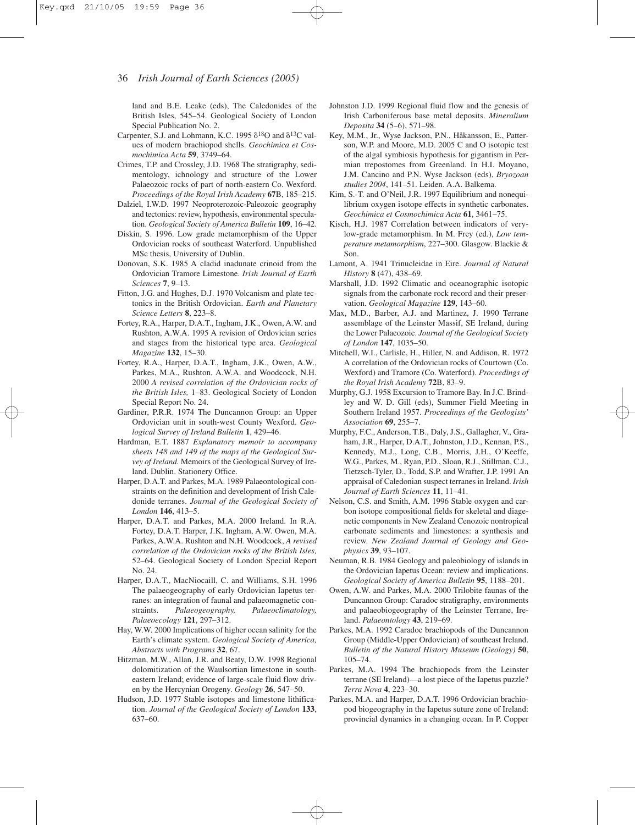land and B.E. Leake (eds), The Caledonides of the British Isles, 545–54. Geological Society of London Special Publication No. 2.

- Carpenter, S.J. and Lohmann, K.C. 1995  $\delta^{18}$ O and  $\delta^{13}$ C values of modern brachiopod shells. *Geochimica et Cosmochimica Acta* **59**, 3749–64.
- Crimes, T.P. and Crossley, J.D. 1968 The stratigraphy, sedimentology, ichnology and structure of the Lower Palaeozoic rocks of part of north-eastern Co. Wexford. *Proceedings of the Royal Irish Academy* **67**B, 185–215.
- Dalziel, I.W.D. 1997 Neoproterozoic-Paleozoic geography and tectonics: review, hypothesis, environmental speculation. *Geological Society of America Bulletin* **109**, 16–42.
- Diskin, S. 1996. Low grade metamorphism of the Upper Ordovician rocks of southeast Waterford. Unpublished MSc thesis, University of Dublin.
- Donovan, S.K. 1985 A cladid inadunate crinoid from the Ordovician Tramore Limestone. *Irish Journal of Earth Sciences* **7**, 9–13.
- Fitton, J.G. and Hughes, D.J. 1970 Volcanism and plate tectonics in the British Ordovician. *Earth and Planetary Science Letters* **8**, 223–8.
- Fortey, R.A., Harper, D.A.T., Ingham, J.K., Owen, A.W. and Rushton, A.W.A. 1995 A revision of Ordovician series and stages from the historical type area. *Geological Magazine* **132**, 15–30.
- Fortey, R.A., Harper, D.A.T., Ingham, J.K., Owen, A.W., Parkes, M.A., Rushton, A.W.A. and Woodcock, N.H. 2000 *A revised correlation of the Ordovician rocks of the British Isles,* 1–83. Geological Society of London Special Report No. 24.
- Gardiner, P.R.R. 1974 The Duncannon Group: an Upper Ordovician unit in south-west County Wexford. *Geological Survey of Ireland Bulletin* **1**, 429–46.
- Hardman, E.T. 1887 *Explanatory memoir to accompany sheets 148 and 149 of the maps of the Geological Survey of Ireland.* Memoirs of the Geological Survey of Ireland. Dublin. Stationery Office.
- Harper, D.A.T. and Parkes, M.A. 1989 Palaeontological constraints on the definition and development of Irish Caledonide terranes. *Journal of the Geological Society of London* **146**, 413–5.
- Harper, D.A.T. and Parkes, M.A. 2000 Ireland. In R.A. Fortey, D.A.T. Harper, J.K. Ingham, A.W. Owen, M.A. Parkes, A.W.A. Rushton and N.H. Woodcock, *A revised correlation of the Ordovician rocks of the British Isles,* 52–64. Geological Society of London Special Report No. 24.
- Harper, D.A.T., MacNiocaill, C. and Williams, S.H. 1996 The palaeogeography of early Ordovician Iapetus terranes: an integration of faunal and palaeomagnetic constraints. *Palaeogeography, Palaeoclimatology, Palaeoecology* **121**, 297–312.
- Hay, W.W. 2000 Implications of higher ocean salinity for the Earth's climate system. *Geological Society of America, Abstracts with Programs* **32**, 67.
- Hitzman, M.W., Allan, J.R. and Beaty, D.W. 1998 Regional dolomitization of the Waulsortian limestone in southeastern Ireland; evidence of large-scale fluid flow driven by the Hercynian Orogeny. *Geology* **26**, 547–50.
- Hudson, J.D. 1977 Stable isotopes and limestone lithification. *Journal of the Geological Society of London* **133**, 637–60.
- Johnston J.D. 1999 Regional fluid flow and the genesis of Irish Carboniferous base metal deposits. *Mineralium Deposita* **34** (5–6), 571–98.
- Key, M.M., Jr., Wyse Jackson, P.N., Håkansson, E., Patterson, W.P. and Moore, M.D. 2005 C and O isotopic test of the algal symbiosis hypothesis for gigantism in Permian trepostomes from Greenland. In H.I. Moyano, J.M. Cancino and P.N. Wyse Jackson (eds), *Bryozoan studies 2004*, 141–51. Leiden. A.A. Balkema.
- Kim, S.-T. and O'Neil, J.R. 1997 Equilibrium and nonequilibrium oxygen isotope effects in synthetic carbonates. *Geochimica et Cosmochimica Acta* **61**, 3461–75.
- Kisch, H.J. 1987 Correlation between indicators of verylow-grade metamorphism. In M. Frey (ed.), *Low temperature metamorphism*, 227–300. Glasgow. Blackie & Son.
- Lamont, A. 1941 Trinucleidae in Eire. *Journal of Natural History* **8** (47), 438–69.
- Marshall, J.D. 1992 Climatic and oceanographic isotopic signals from the carbonate rock record and their preservation. *Geological Magazine* **129**, 143–60.
- Max, M.D., Barber, A.J. and Martinez, J. 1990 Terrane assemblage of the Leinster Massif, SE Ireland, during the Lower Palaeozoic. *Journal of the Geological Society of London* **147**, 1035–50.
- Mitchell, W.I., Carlisle, H., Hiller, N. and Addison, R. 1972 A correlation of the Ordovician rocks of Courtown (Co. Wexford) and Tramore (Co. Waterford). *Proceedings of the Royal Irish Academy* **72**B, 83–9.
- Murphy, G.J. 1958 Excursion to Tramore Bay. In J.C. Brindley and W. D. Gill (eds), Summer Field Meeting in Southern Ireland 1957. *Proceedings of the Geologists' Association* **69**, 255–7.
- Murphy, F.C., Anderson, T.B., Daly, J.S., Gallagher, V., Graham, J.R., Harper, D.A.T., Johnston, J.D., Kennan, P.S., Kennedy, M.J., Long, C.B., Morris, J.H., O'Keeffe, W.G., Parkes, M., Ryan, P.D., Sloan, R.J., Stillman, C.J., Tietzsch-Tyler, D., Todd, S.P. and Wrafter, J.P. 1991 An appraisal of Caledonian suspect terranes in Ireland. *Irish Journal of Earth Sciences* **11**, 11–41.
- Nelson, C.S. and Smith, A.M. 1996 Stable oxygen and carbon isotope compositional fields for skeletal and diagenetic components in New Zealand Cenozoic nontropical carbonate sediments and limestones: a synthesis and review. *New Zealand Journal of Geology and Geophysics* **39**, 93–107.
- Neuman, R.B. 1984 Geology and paleobiology of islands in the Ordovician Iapetus Ocean: review and implications. *Geological Society of America Bulletin* **95**, 1188–201.
- Owen, A.W. and Parkes, M.A. 2000 Trilobite faunas of the Duncannon Group: Caradoc stratigraphy, environments and palaeobiogeography of the Leinster Terrane, Ireland. *Palaeontology* **43**, 219–69.
- Parkes, M.A. 1992 Caradoc brachiopods of the Duncannon Group (Middle-Upper Ordovician) of southeast Ireland. *Bulletin of the Natural History Museum (Geology)* **50**, 105–74.
- Parkes, M.A. 1994 The brachiopods from the Leinster terrane (SE Ireland)—a lost piece of the Iapetus puzzle? *Terra Nova* **4**, 223–30.
- Parkes, M.A. and Harper, D.A.T. 1996 Ordovician brachiopod biogeography in the Iapetus suture zone of Ireland: provincial dynamics in a changing ocean. In P. Copper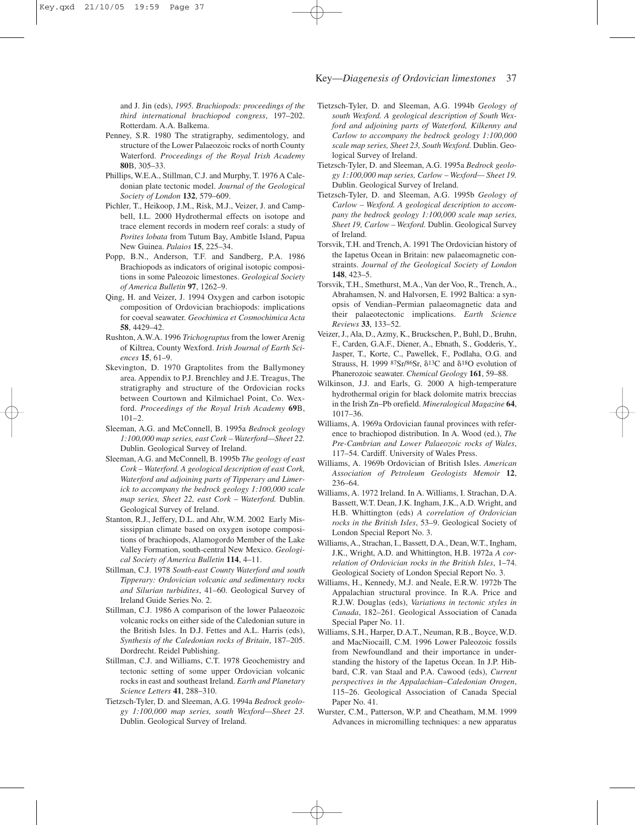and J. Jin (eds), *1995. Brachiopods: proceedings of the third international brachiopod congress*, 197–202. Rotterdam. A.A. Balkema.

- Penney, S.R. 1980 The stratigraphy, sedimentology, and structure of the Lower Palaeozoic rocks of north County Waterford. *Proceedings of the Royal Irish Academy* **80**B, 305–33.
- Phillips, W.E.A., Stillman, C.J. and Murphy, T. 1976 A Caledonian plate tectonic model. *Journal of the Geological Society of London* **132**, 579–609.
- Pichler, T., Heikoop, J.M., Risk, M.J., Veizer, J. and Campbell, I.L. 2000 Hydrothermal effects on isotope and trace element records in modern reef corals: a study of *Porites lobata* from Tutum Bay, Ambitle Island, Papua New Guinea. *Palaios* **15**, 225–34.
- Popp, B.N., Anderson, T.F. and Sandberg, P.A. 1986 Brachiopods as indicators of original isotopic compositions in some Paleozoic limestones. *Geological Society of America Bulletin* **97**, 1262–9.
- Qing, H. and Veizer, J. 1994 Oxygen and carbon isotopic composition of Ordovician brachiopods: implications for coeval seawater. *Geochimica et Cosmochimica Acta* **58**, 4429–42.
- Rushton, A.W.A. 1996 *Trichograptus* from the lower Arenig of Kiltrea, County Wexford. *Irish Journal of Earth Sciences* **15**, 61–9.
- Skevington, D. 1970 Graptolites from the Ballymoney area. Appendix to P.J. Brenchley and J.E. Treagus, The stratigraphy and structure of the Ordovician rocks between Courtown and Kilmichael Point, Co. Wexford. *Proceedings of the Royal Irish Academy* **69**B,  $101 - 2$ .
- Sleeman, A.G. and McConnell, B. 1995a *Bedrock geology 1:100,000 map series, east Cork – Waterford—Sheet 22.* Dublin. Geological Survey of Ireland.
- Sleeman, A.G. and McConnell, B. 1995b *The geology of east Cork – Waterford. A geological description of east Cork, Waterford and adjoining parts of Tipperary and Limerick to accompany the bedrock geology 1:100,000 scale map series, Sheet 22, east Cork – Waterford.* Dublin. Geological Survey of Ireland.
- Stanton, R.J., Jeffery, D.L. and Ahr, W.M. 2002 Early Mississippian climate based on oxygen isotope compositions of brachiopods, Alamogordo Member of the Lake Valley Formation, south-central New Mexico. *Geological Society of America Bulletin* **114**, 4–11.
- Stillman, C.J. 1978 *South-east County Waterford and south Tipperary: Ordovician volcanic and sedimentary rocks and Silurian turbidites*, 41–60. Geological Survey of Ireland Guide Series No. 2.
- Stillman, C.J. 1986 A comparison of the lower Palaeozoic volcanic rocks on either side of the Caledonian suture in the British Isles. In D.J. Fettes and A.L. Harris (eds), *Synthesis of the Caledonian rocks of Britain*, 187–205. Dordrecht. Reidel Publishing.
- Stillman, C.J. and Williams, C.T. 1978 Geochemistry and tectonic setting of some upper Ordovician volcanic rocks in east and southeast Ireland. *Earth and Planetary Science Letters* **41**, 288–310.
- Tietzsch-Tyler, D. and Sleeman, A.G. 1994a *Bedrock geology 1:100,000 map series, south Wexford—Sheet 23.* Dublin. Geological Survey of Ireland.
- Tietzsch-Tyler, D. and Sleeman, A.G. 1994b *Geology of south Wexford. A geological description of South Wexford and adjoining parts of Waterford, Kilkenny and Carlow to accompany the bedrock geology 1:100,000 scale map series, Sheet 23, South Wexford.* Dublin. Geological Survey of Ireland.
- Tietzsch-Tyler, D. and Sleeman, A.G. 1995a *Bedrock geology 1:100,000 map series, Carlow – Wexford— Sheet 19.* Dublin. Geological Survey of Ireland.
- Tietzsch-Tyler, D. and Sleeman, A.G. 1995b *Geology of Carlow – Wexford. A geological description to accompany the bedrock geology 1:100,000 scale map series, Sheet 19, Carlow – Wexford.* Dublin. Geological Survey of Ireland.
- Torsvik, T.H. and Trench, A. 1991 The Ordovician history of the Iapetus Ocean in Britain: new palaeomagnetic constraints. *Journal of the Geological Society of London* **148**, 423–5.
- Torsvik, T.H., Smethurst, M.A., Van der Voo, R., Trench, A., Abrahamsen, N. and Halvorsen, E. 1992 Baltica: a synopsis of Vendian–Permian palaeomagnetic data and their palaeotectonic implications. *Earth Science Reviews* **33**, 133–52.
- Veizer, J., Ala, D., Azmy, K., Bruckschen, P., Buhl, D., Bruhn, F., Carden, G.A.F., Diener, A., Ebnath, S., Godderis, Y., Jasper, T., Korte, C., Pawellek, F., Podlaha, O.G. and Strauss, H. 1999  $87Sr/86Sr$ ,  $\delta^{13}C$  and  $\delta^{18}O$  evolution of Phanerozoic seawater. *Chemical Geology* **161**, 59–88.
- Wilkinson, J.J. and Earls, G. 2000 A high-temperature hydrothermal origin for black dolomite matrix breccias in the Irish Zn–Pb orefield. *Mineralogical Magazine* **64**, 1017–36.
- Williams, A. 1969a Ordovician faunal provinces with reference to brachiopod distribution. In A. Wood (ed.), *The Pre-Cambrian and Lower Palaeozoic rocks of Wales*, 117–54. Cardiff. University of Wales Press.
- Williams, A. 1969b Ordovician of British Isles. *American Association of Petroleum Geologists Memoir* **12**, 236–64.
- Williams, A. 1972 Ireland. In A. Williams, I. Strachan, D.A. Bassett, W.T. Dean, J.K. Ingham, J.K., A.D. Wright, and H.B. Whittington (eds) *A correlation of Ordovician rocks in the British Isles*, 53–9. Geological Society of London Special Report No. 3.
- Williams, A., Strachan, I., Bassett, D.A., Dean, W.T., Ingham, J.K., Wright, A.D. and Whittington, H.B. 1972a *A correlation of Ordovician rocks in the British Isles*, 1–74. Geological Society of London Special Report No. 3.
- Williams, H., Kennedy, M.J. and Neale, E.R.W. 1972b The Appalachian structural province. In R.A. Price and R.J.W. Douglas (eds), *Variations in tectonic styles in Canada*, 182–261. Geological Association of Canada Special Paper No. 11.
- Williams, S.H., Harper, D.A.T., Neuman, R.B., Boyce, W.D. and MacNiocaill, C.M. 1996 Lower Paleozoic fossils from Newfoundland and their importance in understanding the history of the Iapetus Ocean. In J.P. Hibbard, C.R. van Staal and P.A. Cawood (eds), *Current perspectives in the Appalachian–Caledonian Orogen*, 115–26. Geological Association of Canada Special Paper No. 41.
- Wurster, C.M., Patterson, W.P. and Cheatham, M.M. 1999 Advances in micromilling techniques: a new apparatus